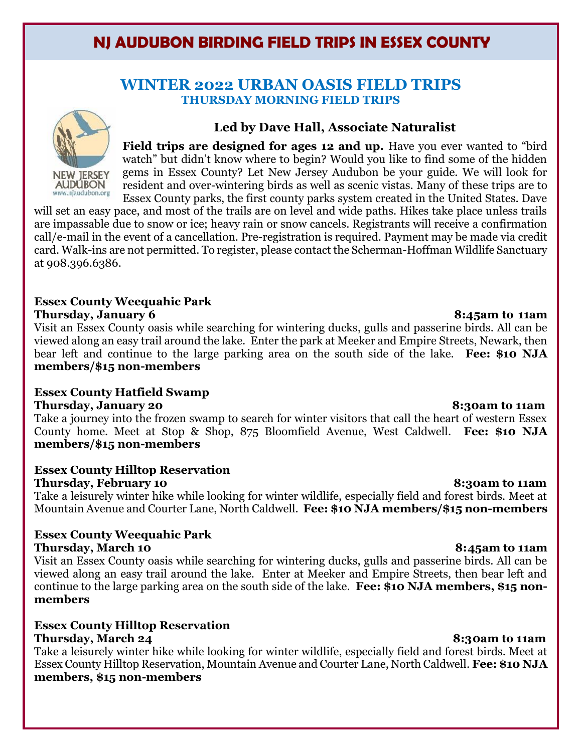# **NJ AUDUBON BIRDING FIELD TRIPS IN ESSEX COUNTY**

### **WINTER 2022 URBAN OASIS FIELD TRIPS THURSDAY MORNING FIELD TRIPS**



#### **Led by Dave Hall, Associate Naturalist**

**Field trips are designed for ages 12 and up.** Have you ever wanted to "bird watch" but didn't know where to begin? Would you like to find some of the hidden gems in Essex County? Let New Jersey Audubon be your guide. We will look for resident and over-wintering birds as well as scenic vistas. Many of these trips are to Essex County parks, the first county parks system created in the United States. Dave

will set an easy pace, and most of the trails are on level and wide paths. Hikes take place unless trails are impassable due to snow or ice; heavy rain or snow cancels. Registrants will receive a confirmation call/e-mail in the event of a cancellation. Pre-registration is required. Payment may be made via credit card. Walk-ins are not permitted. To register, please contact the Scherman-Hoffman Wildlife Sanctuary at 908.396.6386.

#### **Essex County Weequahic Park Thursday, January 6 8:45am to 11am**

Visit an Essex County oasis while searching for wintering ducks, gulls and passerine birds. All can be viewed along an easy trail around the lake. Enter the park at Meeker and Empire Streets, Newark, then bear left and continue to the large parking area on the south side of the lake. **Fee: \$10 NJA members/\$15 non-members**

### **Essex County Hatfield Swamp**

**Thursday, January 20 8:30am to 11am**

Take a journey into the frozen swamp to search for winter visitors that call the heart of western Essex County home. Meet at Stop & Shop, 875 Bloomfield Avenue, West Caldwell. **Fee: \$10 NJA members/\$15 non-members**

### **Essex County Hilltop Reservation**

**Thursday, February 10 8:30am to 11am**

Take a leisurely winter hike while looking for winter wildlife, especially field and forest birds. Meet at Mountain Avenue and Courter Lane, North Caldwell. **Fee: \$10 NJA members/\$15 non-members**

#### **Essex County Weequahic Park Thursday, March 10 8:45am to 11am**

Visit an Essex County oasis while searching for wintering ducks, gulls and passerine birds. All can be viewed along an easy trail around the lake. Enter at Meeker and Empire Streets, then bear left and continue to the large parking area on the south side of the lake. **Fee: \$10 NJA members, \$15 nonmembers**

# **Essex County Hilltop Reservation**

**Thursday, March 24 8:30am to 11am** Take a leisurely winter hike while looking for winter wildlife, especially field and forest birds. Meet at Essex County Hilltop Reservation, Mountain Avenue and Courter Lane, North Caldwell. **Fee: \$10 NJA members, \$15 non-members**